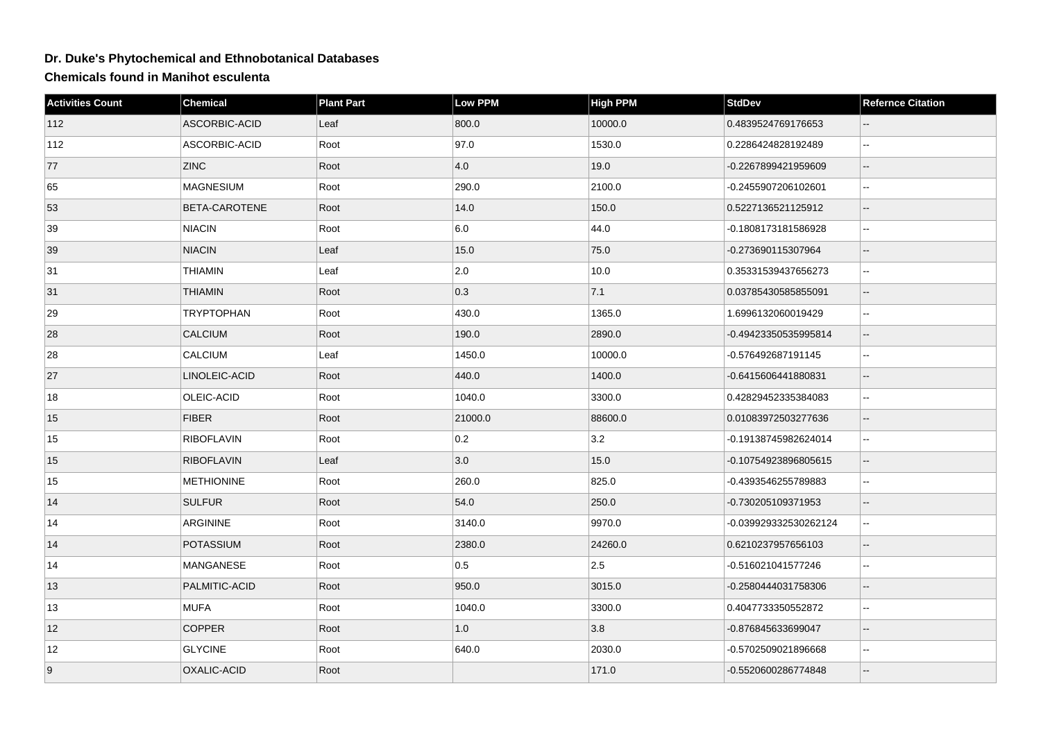## **Dr. Duke's Phytochemical and Ethnobotanical Databases**

**Chemicals found in Manihot esculenta**

| <b>Activities Count</b> | Chemical          | <b>Plant Part</b> | Low PPM       | <b>High PPM</b> | <b>StdDev</b>         | <b>Refernce Citation</b> |
|-------------------------|-------------------|-------------------|---------------|-----------------|-----------------------|--------------------------|
| 112                     | ASCORBIC-ACID     | Leaf              | 800.0         | 10000.0         | 0.4839524769176653    |                          |
| 112                     | ASCORBIC-ACID     | Root              | 97.0          | 1530.0          | 0.2286424828192489    | $\overline{\phantom{a}}$ |
| 77                      | <b>ZINC</b>       | Root              | 4.0           | 19.0            | -0.2267899421959609   | Ξ.                       |
| 65                      | <b>MAGNESIUM</b>  | Root              | 290.0         | 2100.0          | -0.2455907206102601   | --                       |
| 53                      | BETA-CAROTENE     | Root              | 14.0          | 150.0           | 0.5227136521125912    | $\overline{\phantom{a}}$ |
| 39                      | <b>NIACIN</b>     | Root              | 6.0           | 44.0            | -0.1808173181586928   | $\overline{\phantom{a}}$ |
| 39                      | <b>NIACIN</b>     | Leaf              | 15.0          | 75.0            | -0.273690115307964    | $-$                      |
| 31                      | <b>THIAMIN</b>    | Leaf              | $ 2.0\rangle$ | 10.0            | 0.35331539437656273   | $\overline{\phantom{a}}$ |
| 31                      | <b>THIAMIN</b>    | Root              | 0.3           | 7.1             | 0.03785430585855091   | Ξ.                       |
| 29                      | <b>TRYPTOPHAN</b> | Root              | 430.0         | 1365.0          | 1.6996132060019429    | $-$                      |
| 28                      | <b>CALCIUM</b>    | Root              | 190.0         | 2890.0          | -0.49423350535995814  | Ξ.                       |
| 28                      | <b>CALCIUM</b>    | Leaf              | 1450.0        | 10000.0         | -0.576492687191145    |                          |
| 27                      | LINOLEIC-ACID     | Root              | 440.0         | 1400.0          | -0.6415606441880831   |                          |
| 18                      | OLEIC-ACID        | Root              | 1040.0        | 3300.0          | 0.42829452335384083   | $\ddotsc$                |
| 15                      | <b>FIBER</b>      | Root              | 21000.0       | 88600.0         | 0.01083972503277636   | $-$                      |
| 15                      | <b>RIBOFLAVIN</b> | Root              | 0.2           | 3.2             | -0.19138745982624014  | $\overline{\phantom{a}}$ |
| 15                      | <b>RIBOFLAVIN</b> | Leaf              | 3.0           | 15.0            | -0.10754923896805615  | Ξ.                       |
| 15                      | <b>METHIONINE</b> | Root              | 260.0         | 825.0           | -0.4393546255789883   | $-$                      |
| 14                      | <b>SULFUR</b>     | Root              | 54.0          | 250.0           | -0.730205109371953    |                          |
| 14                      | <b>ARGININE</b>   | Root              | 3140.0        | 9970.0          | -0.039929332530262124 | ц.                       |
| 14                      | POTASSIUM         | Root              | 2380.0        | 24260.0         | 0.6210237957656103    | $-$                      |
| 14                      | <b>MANGANESE</b>  | Root              | 0.5           | 2.5             | -0.516021041577246    | Ξ.                       |
| 13                      | PALMITIC-ACID     | Root              | 950.0         | 3015.0          | -0.2580444031758306   | $\overline{\phantom{a}}$ |
| 13                      | <b>MUFA</b>       | Root              | 1040.0        | 3300.0          | 0.4047733350552872    | $-$                      |
| 12                      | <b>COPPER</b>     | Root              | $1.0\,$       | 3.8             | -0.876845633699047    |                          |
| 12                      | <b>GLYCINE</b>    | Root              | 640.0         | 2030.0          | -0.5702509021896668   | $-$                      |
| 9                       | OXALIC-ACID       | Root              |               | 171.0           | -0.5520600286774848   |                          |